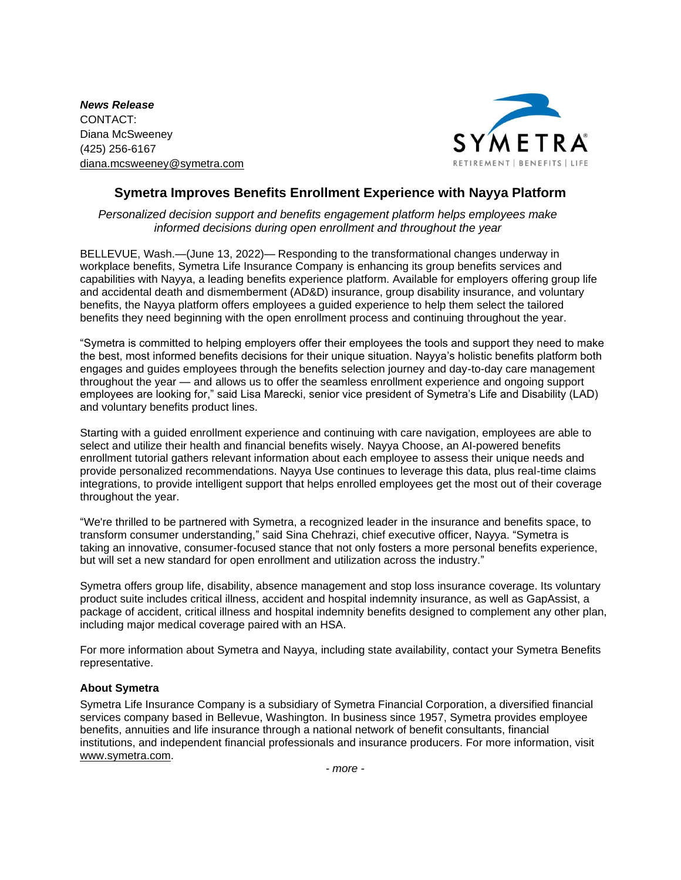*News Release* CONTACT: Diana McSweeney (425) 256-6167 [diana.mcsweeney@symetra.com](mailto:diana.mcsweeney@symetra.com)



## **Symetra Improves Benefits Enrollment Experience with Nayya Platform**

*Personalized decision support and benefits engagement platform helps employees make informed decisions during open enrollment and throughout the year*

BELLEVUE, Wash.—(June 13, 2022)— Responding to the transformational changes underway in workplace benefits, Symetra Life Insurance Company is enhancing its group benefits services and capabilities with Nayya, a leading benefits experience platform. Available for employers offering group life and accidental death and dismemberment (AD&D) insurance, group disability insurance, and voluntary benefits, the Nayya platform offers employees a guided experience to help them select the tailored benefits they need beginning with the open enrollment process and continuing throughout the year.

"Symetra is committed to helping employers offer their employees the tools and support they need to make the best, most informed benefits decisions for their unique situation. Nayya's holistic benefits platform both engages and guides employees through the benefits selection journey and day-to-day care management throughout the year — and allows us to offer the seamless enrollment experience and ongoing support employees are looking for," said Lisa Marecki, senior vice president of Symetra's Life and Disability (LAD) and voluntary benefits product lines.

Starting with a guided enrollment experience and continuing with care navigation, employees are able to select and utilize their health and financial benefits wisely. Nayya Choose, an AI-powered benefits enrollment tutorial gathers relevant information about each employee to assess their unique needs and provide personalized recommendations. Nayya Use continues to leverage this data, plus real-time claims integrations, to provide intelligent support that helps enrolled employees get the most out of their coverage throughout the year.

"We're thrilled to be partnered with Symetra, a recognized leader in the insurance and benefits space, to transform consumer understanding," said Sina Chehrazi, chief executive officer, Nayya. "Symetra is taking an innovative, consumer-focused stance that not only fosters a more personal benefits experience, but will set a new standard for open enrollment and utilization across the industry."

Symetra offers group life, disability, absence management and stop loss insurance coverage. Its voluntary product suite includes critical illness, accident and hospital indemnity insurance, as well as GapAssist, a package of accident, critical illness and hospital indemnity benefits designed to complement any other plan, including major medical coverage paired with an HSA.

For more information about Symetra and Nayya, including state availability, contact your Symetra Benefits representative.

## **About Symetra**

Symetra Life Insurance Company is a subsidiary of Symetra Financial Corporation, a diversified financial services company based in Bellevue, Washington. In business since 1957, Symetra provides employee benefits, annuities and life insurance through a national network of benefit consultants, financial institutions, and independent financial professionals and insurance producers. For more information, visit [www.symetra.com.](http://www.symetra.com/)